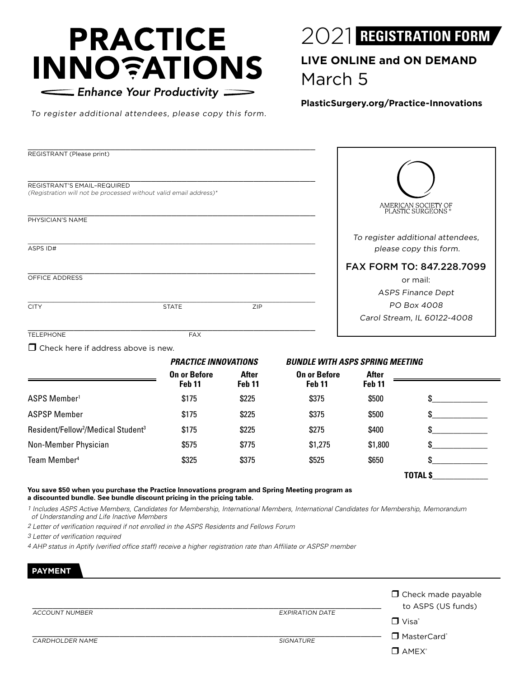

To register additional attendees, please copy this form.

2021 **REGISTRATION FORM**

**LIVE ONLINE and ON DEMAND** March 5

### **PlasticSurgery.org/Practice-Innovations**

| REGISTRANT (Please print)                                                                        |                                          |                                   |                                        |                               |                                        |
|--------------------------------------------------------------------------------------------------|------------------------------------------|-----------------------------------|----------------------------------------|-------------------------------|----------------------------------------|
|                                                                                                  |                                          |                                   |                                        |                               |                                        |
| REGISTRANT'S EMAIL-REQUIRED<br>(Registration will not be processed without valid email address)* |                                          |                                   |                                        |                               |                                        |
|                                                                                                  |                                          |                                   |                                        |                               | AMERICAN SOCIETY OF PLASTIC SURGEONS ® |
| PHYSICIAN'S NAME                                                                                 |                                          |                                   |                                        |                               |                                        |
|                                                                                                  |                                          |                                   |                                        |                               | To register additional attendees,      |
| ASPS ID#                                                                                         |                                          | please copy this form.            |                                        |                               |                                        |
|                                                                                                  |                                          |                                   |                                        |                               | FAX FORM TO: 847.228.7099              |
| OFFICE ADDRESS                                                                                   |                                          |                                   |                                        | or mail:                      |                                        |
|                                                                                                  |                                          |                                   |                                        |                               | <b>ASPS Finance Dept</b>               |
| <b>CITY</b>                                                                                      | <b>STATE</b>                             | ZIP                               |                                        | PO Box 4008                   |                                        |
|                                                                                                  |                                          |                                   |                                        |                               | Carol Stream, IL 60122-4008            |
| <b>TELEPHONE</b>                                                                                 | <b>FAX</b>                               |                                   |                                        |                               |                                        |
| $\Box$ Check here if address above is new.                                                       |                                          |                                   |                                        |                               |                                        |
|                                                                                                  | <b>PRACTICE INNOVATIONS</b>              |                                   | <b>BUNDLE WITH ASPS SPRING MEETING</b> |                               |                                        |
|                                                                                                  | <b>On or Before</b><br>Feb <sub>11</sub> | <b>After</b><br>Feb <sub>11</sub> | On or Before<br><b>Feb 11</b>          | <b>After</b><br><b>Feb 11</b> |                                        |
| ASPS Member <sup>1</sup>                                                                         | \$175                                    | \$225                             | \$375                                  | \$500                         | \$.                                    |
| <b>ASPSP Member</b>                                                                              | \$175                                    | \$225                             | \$375                                  | \$500                         |                                        |
| Resident/Fellow <sup>2</sup> /Medical Student <sup>3</sup>                                       | \$175                                    | \$225                             | \$275                                  | \$400                         |                                        |
| Non-Member Physician                                                                             | \$575                                    | \$775                             | \$1,275                                | \$1,800                       |                                        |
| Team Member <sup>4</sup>                                                                         | \$325                                    | \$375                             | \$525                                  | \$650                         |                                        |
|                                                                                                  |                                          |                                   |                                        |                               | <b>TOTAL \$</b>                        |
| You save \$50 when you purchase the Practice Innovations program and Spring Meeting program as   |                                          |                                   |                                        |                               |                                        |

**a discounted bundle. See bundle discount pricing in the pricing table.**

*1 Includes ASPS Active Members, Candidates for Membership, International Members, International Candidates for Membership, Memorandum of Understanding and Life Inactive Members*

*2 Letter of verification required if not enrolled in the ASPS Residents and Fellows Forum*

*3 Letter of verification required*

*4 AHP status in Aptify (verified office staff) receive a higher registration rate than Affiliate or ASPSP member*

### **PAYMENT**

| ACCOUNT NUMBER  | EXPIRATION DATE | $\Box$ Check made payable<br>to ASPS (US funds) |  |
|-----------------|-----------------|-------------------------------------------------|--|
|                 |                 | $\Box$ Visa $^{\circ}$                          |  |
| CARDHOLDER NAME | SIGNATURE       | MasterCard®                                     |  |
|                 |                 | $\Box$ AMEX <sup>*</sup>                        |  |